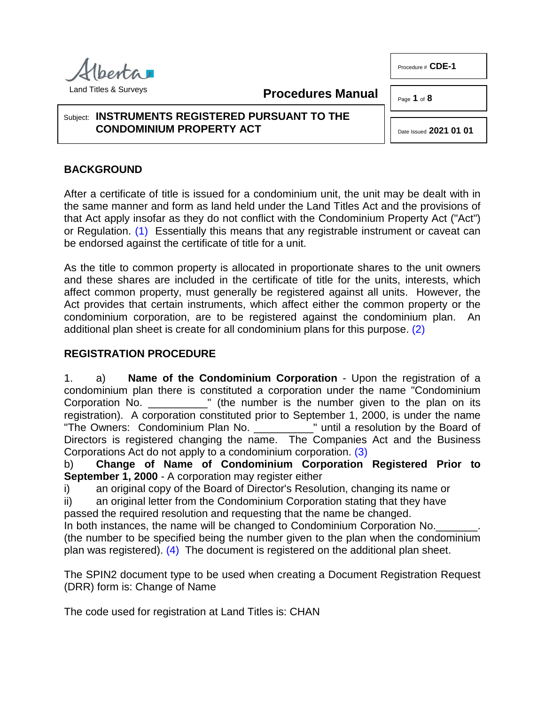besta

**Procedures Manual**

### Subject: **INSTRUMENTS REGISTERED PURSUANT TO THE CONDOMINIUM PROPERTY ACT**

# **BACKGROUND**

<span id="page-0-0"></span>After a certificate of title is issued for a condominium unit, the unit may be dealt with in the same manner and form as land held under the Land Titles Act and the provisions of that Act apply insofar as they do not conflict with the Condominium Property Act ("Act") or Regulation. [\(1\)](#page-6-0) Essentially this means that any registrable instrument or caveat can be endorsed against the certificate of title for a unit.

As the title to common property is allocated in proportionate shares to the unit owners and these shares are included in the certificate of title for the units, interests, which affect common property, must generally be registered against all units. However, the Act provides that certain instruments, which affect either the common property or the condominium corporation, are to be registered against the condominium plan. An additional plan sheet is create for all condominium plans for this purpose. [\(2\)](#page-6-1)

### **REGISTRATION PROCEDURE**

1. a) **Name of the Condominium Corporation** - Upon the registration of a condominium plan there is constituted a corporation under the name "Condominium Corporation No. <sup>"</sup> (the number is the number given to the plan on its registration). A corporation constituted prior to September 1, 2000, is under the name<br>"The Owners: Condominium Plan No. "" until a resolution by the Board of "The Owners: Condominium Plan No. \_\_\_\_\_\_ Directors is registered changing the name. The Companies Act and the Business Corporations Act do not apply to a condominium corporation. [\(3\)](#page-6-2)

<span id="page-0-2"></span>b) **Change of Name of Condominium Corporation Registered Prior to September 1, 2000** - A corporation may register either

i) an original copy of the Board of Director's Resolution, changing its name or

ii) an original letter from the Condominium Corporation stating that they have

passed the required resolution and requesting that the name be changed.

<span id="page-0-3"></span>In both instances, the name will be changed to Condominium Corporation No. (the number to be specified being the number given to the plan when the condominium plan was registered). [\(4\)](#page-6-3) The document is registered on the additional plan sheet.

The SPIN2 document type to be used when creating a Document Registration Request (DRR) form is: Change of Name

The code used for registration at Land Titles is: CHAN

Land Titles & Surveys

<span id="page-0-1"></span>Date Issued **2021 01 01**

Page **1** of **8**

Procedure # **CDE-1**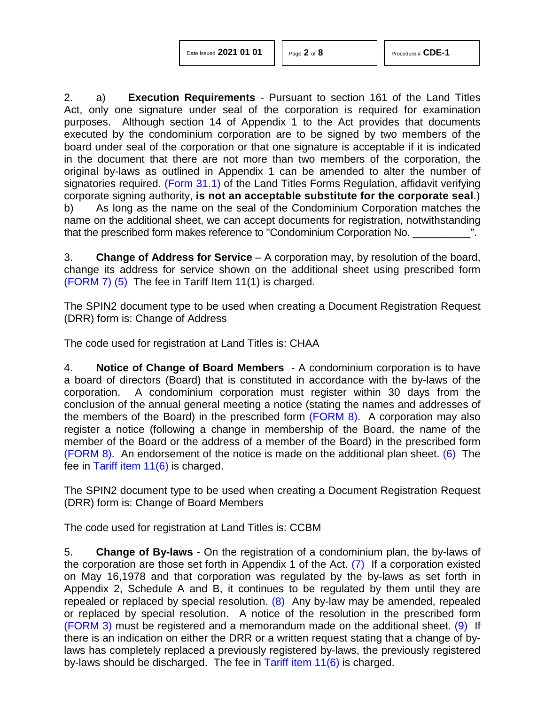| Date Issued 2021 01 01 |  |  |  |
|------------------------|--|--|--|
|------------------------|--|--|--|

2. a) **Execution Requirements** - Pursuant to section 161 of the Land Titles Act, only one signature under seal of the corporation is required for examination purposes. Although section 14 of Appendix 1 to the Act provides that documents executed by the condominium corporation are to be signed by two members of the board under seal of the corporation or that one signature is acceptable if it is indicated in the document that there are not more than two members of the corporation, the original by-laws as outlined in Appendix 1 can be amended to alter the number of signatories required. [\(Form 31.1\)](http://www.servicealberta.ca/pdf/ltmanual/FORM31.1.pdf) of the Land Titles Forms Regulation, affidavit verifying corporate signing authority, **is not an acceptable substitute for the corporate seal**.) b) As long as the name on the seal of the Condominium Corporation matches the name on the additional sheet, we can accept documents for registration, notwithstanding that the prescribed form makes reference to "Condominium Corporation No. \_\_\_\_\_\_\_

3. **Change of Address for Service** – A corporation may, by resolution of the board, change its address for service shown on the additional sheet using prescribed form [\(FORM 7\)](http://www.servicealberta.ca/pdf/ltmanual/CDE-1-FORM7.pdf) [\(5\)](#page-6-4) The fee in Tariff Item 11(1) is charged.

<span id="page-1-0"></span>The SPIN2 document type to be used when creating a Document Registration Request (DRR) form is: Change of Address

The code used for registration at Land Titles is: CHAA

4. **Notice of Change of Board Members** - A condominium corporation is to have a board of directors (Board) that is constituted in accordance with the by-laws of the corporation. A condominium corporation must register within 30 days from the conclusion of the annual general meeting a notice (stating the names and addresses of the members of the Board) in the prescribed form [\(FORM 8\).](http://www.servicealberta.ca/pdf/ltmanual/CDE-1-FORM8.pdf) A corporation may also register a notice (following a change in membership of the Board, the name of the member of the Board or the address of a member of the Board) in the prescribed form [\(FORM 8\).](http://www.servicealberta.ca/pdf/ltmanual/CDE-1-FORM8.pdf) An endorsement of the notice is made on the additional plan sheet. [\(6\)](#page-6-5) The fee in [Tariff item 11\(6\)](http://www.servicealberta.ca/pdf/ltmanual/APPENDIXI.pdf) is charged.

<span id="page-1-1"></span>The SPIN2 document type to be used when creating a Document Registration Request (DRR) form is: Change of Board Members

The code used for registration at Land Titles is: CCBM

<span id="page-1-4"></span><span id="page-1-3"></span><span id="page-1-2"></span>5. **Change of By-laws** - On the registration of a condominium plan, the by-laws of the corporation are those set forth in Appendix 1 of the Act.  $(7)$  If a corporation existed on May 16,1978 and that corporation was regulated by the by-laws as set forth in Appendix 2, Schedule A and B, it continues to be regulated by them until they are repealed or replaced by special resolution.  $(8)$  Any by-law may be amended, repealed or replaced by special resolution. A notice of the resolution in the prescribed form [\(FORM 3\)](http://www.servicealberta.ca/pdf/ltmanual/CDE-1-FORM3.pdf) must be registered and a memorandum made on the additional sheet. [\(9\)](#page-6-8) If there is an indication on either the DRR or a written request stating that a change of bylaws has completely replaced a previously registered by-laws, the previously registered by-laws should be discharged. The fee in Tariff item  $11(6)$  is charged.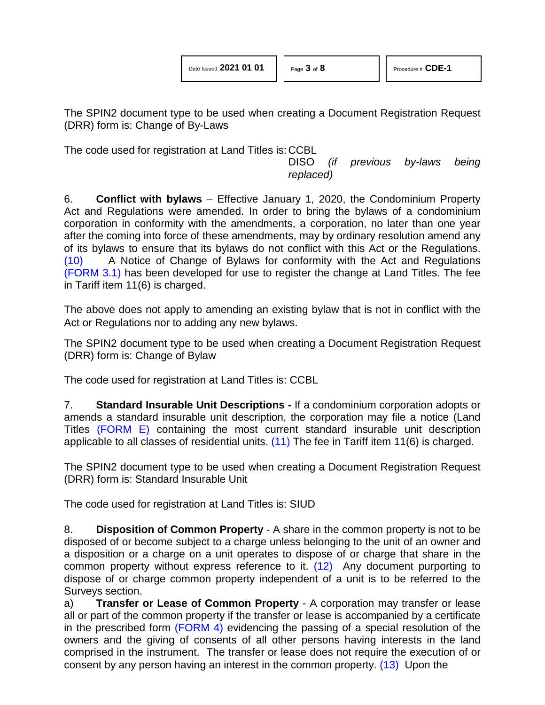| Date Issued 2021 01 01 |  |  |
|------------------------|--|--|
|                        |  |  |

The SPIN2 document type to be used when creating a Document Registration Request (DRR) form is: Change of By-Laws

The code used for registration at Land Titles is: CCBL

DISO *(if previous by-laws being replaced)*

6. **Conflict with bylaws** – Effective January 1, 2020, the Condominium Property Act and Regulations were amended. In order to bring the bylaws of a condominium corporation in conformity with the amendments, a corporation, no later than one year after the coming into force of these amendments, may by ordinary resolution amend any of its bylaws to ensure that its bylaws do not conflict with this Act or the Regulations. [\(10\)](#page-6-9) A Notice of Change of Bylaws for conformity with the Act and Regulations [\(FORM 3.1\)](http://www.servicealberta.ca/pdf/ltmanual/cde-1-form3.1.pdf) has been developed for use to register the change at Land Titles. The fee in Tariff item 11(6) is charged.

<span id="page-2-0"></span>The above does not apply to amending an existing bylaw that is not in conflict with the Act or Regulations nor to adding any new bylaws.

The SPIN2 document type to be used when creating a Document Registration Request (DRR) form is: Change of Bylaw

The code used for registration at Land Titles is: CCBL

7. **Standard Insurable Unit Descriptions -** If a condominium corporation adopts or amends a standard insurable unit description, the corporation may file a notice (Land Titles [\(FORM E\)](http://www.servicealberta.ca/pdf/ltmanual/CDE-1-FORME.pdf) containing the most current standard insurable unit description applicable to all classes of residential units. [\(11\)](#page-6-10) The fee in Tariff item 11(6) is charged.

<span id="page-2-1"></span>The SPIN2 document type to be used when creating a Document Registration Request (DRR) form is: Standard Insurable Unit

The code used for registration at Land Titles is: SIUD

<span id="page-2-2"></span>8. **Disposition of Common Property** - A share in the common property is not to be disposed of or become subject to a charge unless belonging to the unit of an owner and a disposition or a charge on a unit operates to dispose of or charge that share in the common property without express reference to it. [\(12\)](#page-6-11) Any document purporting to dispose of or charge common property independent of a unit is to be referred to the Surveys section.

<span id="page-2-3"></span>a) **Transfer or Lease of Common Property** - A corporation may transfer or lease all or part of the common property if the transfer or lease is accompanied by a certificate in the prescribed form [\(FORM 4\)](http://www.servicealberta.ca/pdf/ltmanual/CDE-1-FORM4.pdf) evidencing the passing of a special resolution of the owners and the giving of consents of all other persons having interests in the land comprised in the instrument. The transfer or lease does not require the execution of or consent by any person having an interest in the common property. [\(13\)](#page-6-12) Upon the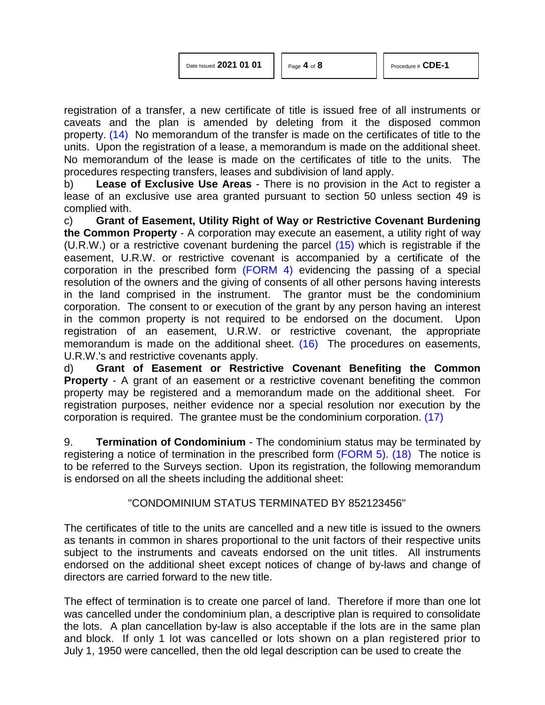<span id="page-3-0"></span>registration of a transfer, a new certificate of title is issued free of all instruments or caveats and the plan is amended by deleting from it the disposed common property. [\(14\)](#page-6-13) No memorandum of the transfer is made on the certificates of title to the units. Upon the registration of a lease, a memorandum is made on the additional sheet. No memorandum of the lease is made on the certificates of title to the units. The procedures respecting transfers, leases and subdivision of land apply.

b) **Lease of Exclusive Use Areas** - There is no provision in the Act to register a lease of an exclusive use area granted pursuant to section 50 unless section 49 is complied with.

<span id="page-3-1"></span>c) **Grant of Easement, Utility Right of Way or Restrictive Covenant Burdening the Common Property** - A corporation may execute an easement, a utility right of way (U.R.W.) or a restrictive covenant burdening the parcel [\(15\)](#page-6-14) which is registrable if the easement, U.R.W. or restrictive covenant is accompanied by a certificate of the corporation in the prescribed form [\(FORM 4\)](http://www.servicealberta.ca/pdf/ltmanual/CDE-1-FORM4.pdf) evidencing the passing of a special resolution of the owners and the giving of consents of all other persons having interests in the land comprised in the instrument. The grantor must be the condominium corporation. The consent to or execution of the grant by any person having an interest in the common property is not required to be endorsed on the document. Upon registration of an easement, U.R.W. or restrictive covenant, the appropriate memorandum is made on the additional sheet. [\(16\)](#page-6-15) The procedures on easements, U.R.W.'s and restrictive covenants apply.

d) **Grant of Easement or Restrictive Covenant Benefiting the Common Property** - A grant of an easement or a restrictive covenant benefiting the common property may be registered and a memorandum made on the additional sheet. For registration purposes, neither evidence nor a special resolution nor execution by the corporation is required. The grantee must be the condominium corporation. [\(17\)](#page-6-16)

9. **Termination of Condominium** - The condominium status may be terminated by registering a notice of termination in the prescribed form [\(FORM 5\).](http://www.servicealberta.ca/pdf/ltmanual/CDE-1-FORM5.pdf) [\(18\)](#page-6-17) The notice is to be referred to the Surveys section. Upon its registration, the following memorandum is endorsed on all the sheets including the additional sheet:

#### <span id="page-3-4"></span><span id="page-3-3"></span><span id="page-3-2"></span>"CONDOMINIUM STATUS TERMINATED BY 852123456"

The certificates of title to the units are cancelled and a new title is issued to the owners as tenants in common in shares proportional to the unit factors of their respective units subject to the instruments and caveats endorsed on the unit titles. All instruments endorsed on the additional sheet except notices of change of by-laws and change of directors are carried forward to the new title.

The effect of termination is to create one parcel of land. Therefore if more than one lot was cancelled under the condominium plan, a descriptive plan is required to consolidate the lots. A plan cancellation by-law is also acceptable if the lots are in the same plan and block. If only 1 lot was cancelled or lots shown on a plan registered prior to July 1, 1950 were cancelled, then the old legal description can be used to create the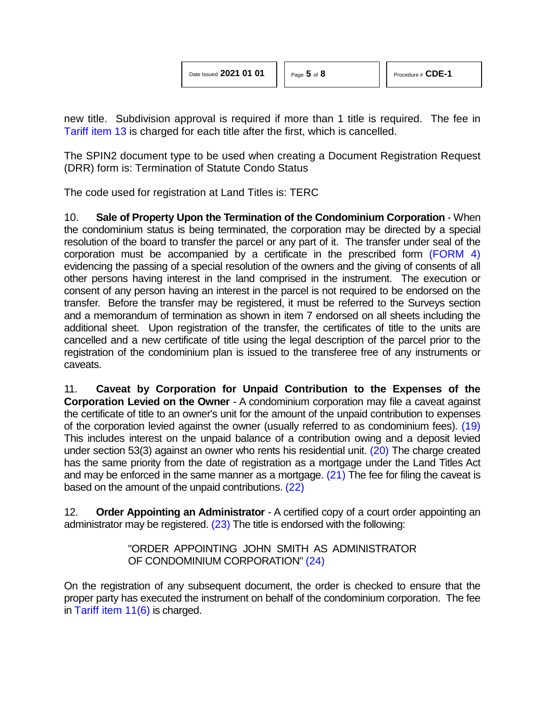new title. Subdivision approval is required if more than 1 title is required. The fee in [Tariff item 13](http://www.servicealberta.ca/pdf/ltmanual/APPENDIXI.pdf) is charged for each title after the first, which is cancelled.

The SPIN2 document type to be used when creating a Document Registration Request (DRR) form is: Termination of Statute Condo Status

The code used for registration at Land Titles is: TERC

10. **Sale of Property Upon the Termination of the Condominium Corporation** - When the condominium status is being terminated, the corporation may be directed by a special resolution of the board to transfer the parcel or any part of it. The transfer under seal of the corporation must be accompanied by a certificate in the prescribed form [\(FORM 4\)](http://www.servicealberta.ca/pdf/ltmanual/cde-1-form4.pdf) evidencing the passing of a special resolution of the owners and the giving of consents of all other persons having interest in the land comprised in the instrument. The execution or consent of any person having an interest in the parcel is not required to be endorsed on the transfer. Before the transfer may be registered, it must be referred to the Surveys section and a memorandum of termination as shown in item 7 endorsed on all sheets including the additional sheet. Upon registration of the transfer, the certificates of title to the units are cancelled and a new certificate of title using the legal description of the parcel prior to the registration of the condominium plan is issued to the transferee free of any instruments or caveats.

11. **Caveat by Corporation for Unpaid Contribution to the Expenses of the Corporation Levied on the Owner** - A condominium corporation may file a caveat against the certificate of title to an owner's unit for the amount of the unpaid contribution to expenses of the corporation levied against the owner (usually referred to as condominium fees). [\(19\)](#page-6-18) This includes interest on the unpaid balance of a contribution owing and a deposit levied under section 53(3) against an owner who rents his residential unit. [\(20\)](#page-6-19) The charge created has the same priority from the date of registration as a mortgage under the Land Titles Act and may be enforced in the same manner as a mortgage. [\(21\)](#page-6-20) The fee for filing the caveat is based on the amount of the unpaid contributions. [\(22\)](#page-6-21)

12. **Order Appointing an Administrator** - A certified copy of a court order appointing an administrator may be registered.  $(23)$  The title is endorsed with the following:

> <span id="page-4-5"></span><span id="page-4-4"></span><span id="page-4-3"></span><span id="page-4-2"></span><span id="page-4-1"></span><span id="page-4-0"></span>"ORDER APPOINTING JOHN SMITH AS ADMINISTRATOR OF CONDOMINIUM CORPORATION" [\(24\)](#page-6-23)

On the registration of any subsequent document, the order is checked to ensure that the proper party has executed the instrument on behalf of the condominium corporation. The fee in [Tariff item 11\(6\)](http://www.servicealberta.ca/pdf/ltmanual/APPENDIXI.pdf) is charged.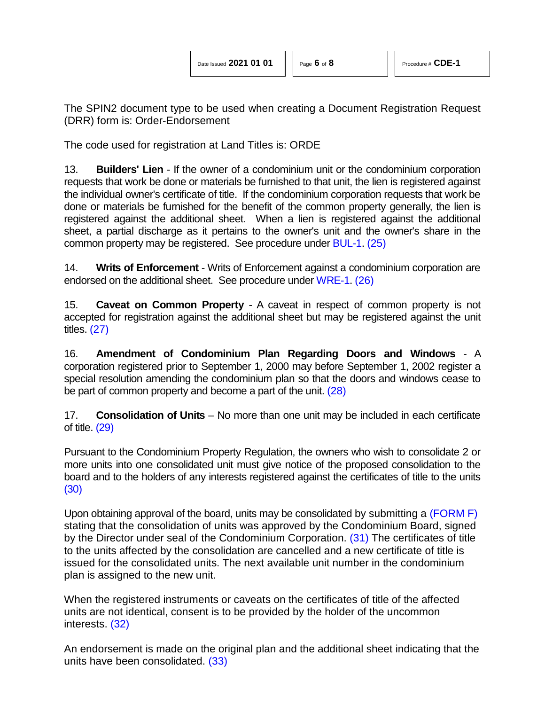<span id="page-5-1"></span><span id="page-5-0"></span>

The SPIN2 document type to be used when creating a Document Registration Request (DRR) form is: Order-Endorsement

The code used for registration at Land Titles is: ORDE

13. **Builders' Lien** - If the owner of a condominium unit or the condominium corporation requests that work be done or materials be furnished to that unit, the lien is registered against the individual owner's certificate of title. If the condominium corporation requests that work be done or materials be furnished for the benefit of the common property generally, the lien is registered against the additional sheet. When a lien is registered against the additional sheet, a partial discharge as it pertains to the owner's unit and the owner's share in the common property may be registered. See procedure under [BUL-1.](http://www.servicealberta.ca/pdf/ltmanual/BUL-1.pdf) [\(25\)](#page-6-24)

14. **Writs of Enforcement** - Writs of Enforcement against a condominium corporation are endorsed on the additional sheet. See procedure under [WRE-1.](http://www.servicealberta.ca/pdf/ltmanual/WRE-1.pdf) [\(26\)](#page-6-25)

<span id="page-5-2"></span>15. **Caveat on Common Property** - A caveat in respect of common property is not accepted for registration against the additional sheet but may be registered against the unit titles. [\(27\)](#page-7-0)

16. **Amendment of Condominium Plan Regarding Doors and Windows** - A corporation registered prior to September 1, 2000 may before September 1, 2002 register a special resolution amending the condominium plan so that the doors and windows cease to be part of common property and become a part of the unit. [\(28\)](#page-7-1)

<span id="page-5-4"></span><span id="page-5-3"></span>17. **Consolidation of Units** – No more than one unit may be included in each certificate of title. [\(29\)](#page-7-2)

Pursuant to the Condominium Property Regulation, the owners who wish to consolidate 2 or more units into one consolidated unit must give notice of the proposed consolidation to the board and to the holders of any interests registered against the certificates of title to the units [\(30\)](#page-7-3)

<span id="page-5-6"></span><span id="page-5-5"></span>Upon obtaining approval of the board, units may be consolidated by submitting a [\(FORM F\)](http://www.servicealberta.ca/pdf/ltmanual/cde-1-formf.pdf) stating that the consolidation of units was approved by the Condominium Board, signed by the Director under seal of the Condominium Corporation. [\(31\)](#page-7-4) The certificates of title to the units affected by the consolidation are cancelled and a new certificate of title is issued for the consolidated units. The next available unit number in the condominium plan is assigned to the new unit.

<span id="page-5-7"></span>When the registered instruments or caveats on the certificates of title of the affected units are not identical, consent is to be provided by the holder of the uncommon interests. [\(32\)](#page-7-5)

<span id="page-5-8"></span>An endorsement is made on the original plan and the additional sheet indicating that the units have been consolidated. [\(33\)](#page-7-6)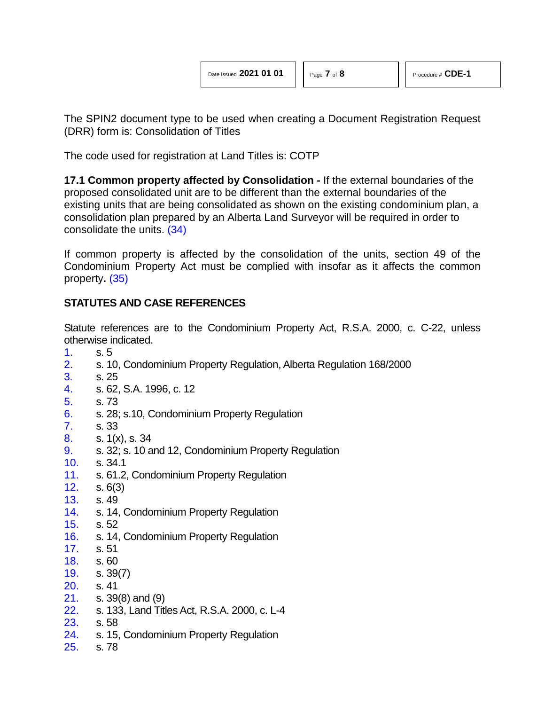The SPIN2 document type to be used when creating a Document Registration Request (DRR) form is: Consolidation of Titles

The code used for registration at Land Titles is: COTP

**17.1 Common property affected by Consolidation -** If the external boundaries of the proposed consolidated unit are to be different than the external boundaries of the existing units that are being consolidated as shown on the existing condominium plan, a consolidation plan prepared by an Alberta Land Surveyor will be required in order to consolidate the units. [\(34\)](#page-7-7)

<span id="page-6-27"></span><span id="page-6-26"></span>If common property is affected by the consolidation of the units, section 49 of the Condominium Property Act must be complied with insofar as it affects the common property**.** [\(35\)](#page-7-8)

## **STATUTES AND CASE REFERENCES**

Statute references are to the Condominium Property Act, R.S.A. 2000, c. C-22, unless otherwise indicated.

- <span id="page-6-0"></span>[1.](#page-0-0) s. 5
- <span id="page-6-1"></span>[2.](#page-0-1) s. 10, Condominium Property Regulation, Alberta Regulation 168/2000
- <span id="page-6-2"></span>[3.](#page-0-2) s. 25
- <span id="page-6-3"></span>[4.](#page-0-3) s. 62, S.A. 1996, c. 12
- <span id="page-6-4"></span>[5.](#page-1-0) s. 73
- <span id="page-6-5"></span>[6.](#page-1-1) s. 28; s.10, Condominium Property Regulation
- <span id="page-6-6"></span>[7.](#page-1-2) s. 33
- <span id="page-6-7"></span>[8.](#page-1-3) s. 1(x), s. 34
- <span id="page-6-8"></span>[9.](#page-1-4) s. 32; s. 10 and 12, Condominium Property Regulation
- <span id="page-6-9"></span>[10.](#page-2-0) s. 34.1
- <span id="page-6-10"></span>[11.](#page-2-1) s. 61.2, Condominium Property Regulation
- <span id="page-6-11"></span>[12.](#page-2-2) s. 6(3)
- <span id="page-6-12"></span>[13.](#page-2-3) s. 49
- <span id="page-6-13"></span>[14.](#page-3-0) s. 14, Condominium Property Regulation
- <span id="page-6-14"></span>[15.](#page-3-1) s. 52
- <span id="page-6-15"></span>[16.](#page-3-2) s. 14, Condominium Property Regulation
- <span id="page-6-16"></span>[17.](#page-3-3) s. 51
- <span id="page-6-17"></span>[18.](#page-3-4) s. 60
- <span id="page-6-18"></span>[19.](#page-4-0) s. 39(7)
- <span id="page-6-19"></span>[20.](#page-4-1) s. 41
- <span id="page-6-20"></span>[21.](#page-4-2) s. 39(8) and (9)
- <span id="page-6-21"></span>[22.](#page-4-3) s. 133, Land Titles Act, R.S.A. 2000, c. L-4
- <span id="page-6-22"></span>[23.](#page-4-4) s. 58
- <span id="page-6-23"></span>[24.](#page-4-5) s. 15, Condominium Property Regulation
- <span id="page-6-25"></span><span id="page-6-24"></span>[25.](#page-5-0) s. 78